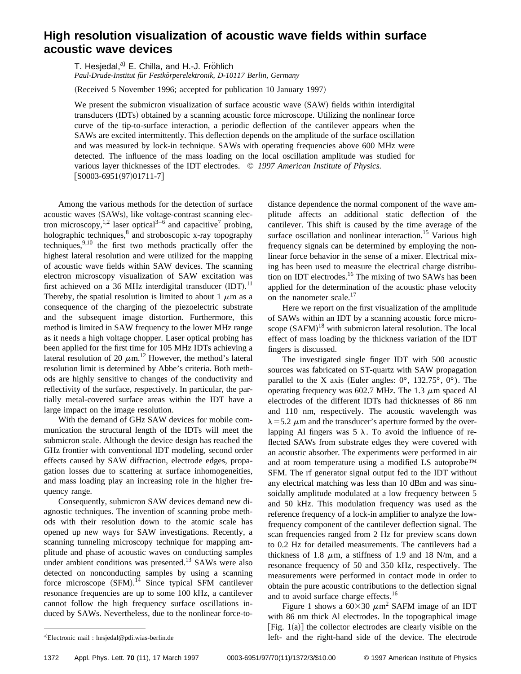## **High resolution visualization of acoustic wave fields within surface acoustic wave devices**

T. Hesjedal,<sup>a)</sup> E. Chilla, and H.-J. Fröhlich

*Paul-Drude-Institut fu¨r Festko¨rperelektronik, D-10117 Berlin, Germany*

(Received 5 November 1996; accepted for publication 10 January 1997)

We present the submicron visualization of surface acoustic wave  $(SAW)$  fields within interdigital transducers (IDTs) obtained by a scanning acoustic force microscope. Utilizing the nonlinear force curve of the tip-to-surface interaction, a periodic deflection of the cantilever appears when the SAWs are excited intermittently. This deflection depends on the amplitude of the surface oscillation and was measured by lock-in technique. SAWs with operating frequencies above 600 MHz were detected. The influence of the mass loading on the local oscillation amplitude was studied for various layer thicknesses of the IDT electrodes. © *1997 American Institute of Physics.*  $[$ S0003-6951(97)01711-7 $]$ 

Among the various methods for the detection of surface acoustic waves (SAWs), like voltage-contrast scanning electron microscopy,<sup>1,2</sup> laser optical<sup>3-6</sup> and capacitive<sup>7</sup> probing, holographic techniques,<sup>8</sup> and stroboscopic x-ray topography techniques, $9,10$  the first two methods practically offer the highest lateral resolution and were utilized for the mapping of acoustic wave fields within SAW devices. The scanning electron microscopy visualization of SAW excitation was first achieved on a 36 MHz interdigital transducer  $(IDT).<sup>11</sup>$ Thereby, the spatial resolution is limited to about 1  $\mu$ m as a consequence of the charging of the piezoelectric substrate and the subsequent image distortion. Furthermore, this method is limited in SAW frequency to the lower MHz range as it needs a high voltage chopper. Laser optical probing has been applied for the first time for 105 MHz IDTs achieving a lateral resolution of 20  $\mu$ m.<sup>12</sup> However, the method's lateral resolution limit is determined by Abbe's criteria. Both methods are highly sensitive to changes of the conductivity and reflectivity of the surface, respectively. In particular, the partially metal-covered surface areas within the IDT have a large impact on the image resolution.

With the demand of GHz SAW devices for mobile communication the structural length of the IDTs will meet the submicron scale. Although the device design has reached the GHz frontier with conventional IDT modeling, second order effects caused by SAW diffraction, electrode edges, propagation losses due to scattering at surface inhomogeneities, and mass loading play an increasing role in the higher frequency range.

Consequently, submicron SAW devices demand new diagnostic techniques. The invention of scanning probe methods with their resolution down to the atomic scale has opened up new ways for SAW investigations. Recently, a scanning tunneling microscopy technique for mapping amplitude and phase of acoustic waves on conducting samples under ambient conditions was presented.<sup>13</sup> SAWs were also detected on nonconducting samples by using a scanning force microscope  $(SFM).$ <sup>14</sup> Since typical SFM cantilever resonance frequencies are up to some 100 kHz, a cantilever cannot follow the high frequency surface oscillations induced by SAWs. Nevertheless, due to the nonlinear force-todistance dependence the normal component of the wave amplitude affects an additional static deflection of the cantilever. This shift is caused by the time average of the surface oscillation and nonlinear interaction.<sup>15</sup> Various high frequency signals can be determined by employing the nonlinear force behavior in the sense of a mixer. Electrical mixing has been used to measure the electrical charge distribution on IDT electrodes.<sup>16</sup> The mixing of two SAWs has been applied for the determination of the acoustic phase velocity on the nanometer scale.<sup>17</sup>

Here we report on the first visualization of the amplitude of SAWs within an IDT by a scanning acoustic force microscope  $(SAFM)^{18}$  with submicron lateral resolution. The local effect of mass loading by the thickness variation of the IDT fingers is discussed.

The investigated single finger IDT with 500 acoustic sources was fabricated on ST-quartz with SAW propagation parallel to the X axis (Euler angles:  $0^\circ$ , 132.75°,  $0^\circ$ ). The operating frequency was 602.7 MHz. The 1.3  $\mu$ m spaced Al electrodes of the different IDTs had thicknesses of 86 nm and 110 nm, respectively. The acoustic wavelength was  $\lambda$  = 5.2  $\mu$ m and the transducer's aperture formed by the overlapping Al fingers was  $5 \lambda$ . To avoid the influence of reflected SAWs from substrate edges they were covered with an acoustic absorber. The experiments were performed in air and at room temperature using a modified LS autoprobe™ SFM. The rf generator signal output fed to the IDT without any electrical matching was less than 10 dBm and was sinusoidally amplitude modulated at a low frequency between 5 and 50 kHz. This modulation frequency was used as the reference frequency of a lock-in amplifier to analyze the lowfrequency component of the cantilever deflection signal. The scan frequencies ranged from 2 Hz for preview scans down to 0.2 Hz for detailed measurements. The cantilevers had a thickness of 1.8  $\mu$ m, a stiffness of 1.9 and 18 N/m, and a resonance frequency of 50 and 350 kHz, respectively. The measurements were performed in contact mode in order to obtain the pure acoustic contributions to the deflection signal and to avoid surface charge effects.<sup>16</sup>

Figure 1 shows a  $60\times30 \ \mu \text{m}^2$  SAFM image of an IDT with 86 nm thick Al electrodes. In the topographical image [Fig.  $1(a)$ ] the collector electrodes are clearly visible on the left- and the right-hand side of the device. The electrode

<sup>&</sup>lt;sup>a)</sup>Electronic mail : hesjedal@pdi.wias-berlin.de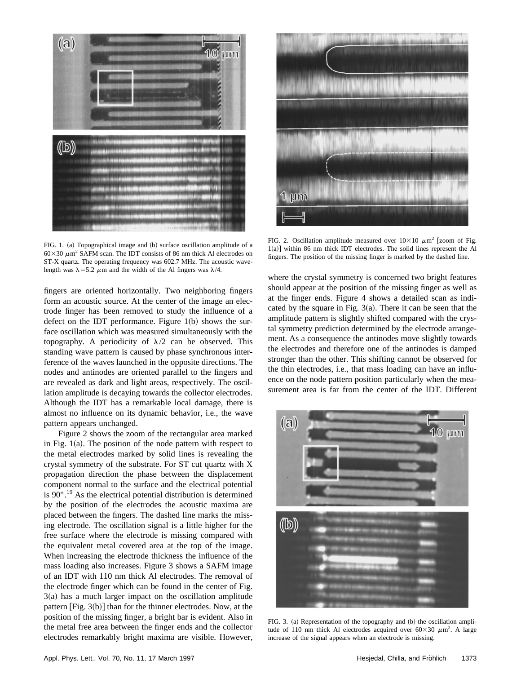

FIG. 1. (a) Topographical image and (b) surface oscillation amplitude of a  $60\times30 \ \mu \text{m}^2$  SAFM scan. The IDT consists of 86 nm thick Al electrodes on ST-X quartz. The operating frequency was 602.7 MHz. The acoustic wavelength was  $\lambda$  = 5.2  $\mu$ m and the width of the Al fingers was  $\lambda$ /4.

fingers are oriented horizontally. Two neighboring fingers form an acoustic source. At the center of the image an electrode finger has been removed to study the influence of a defect on the IDT performance. Figure  $1(b)$  shows the surface oscillation which was measured simultaneously with the topography. A periodicity of  $\lambda/2$  can be observed. This standing wave pattern is caused by phase synchronous interference of the waves launched in the opposite directions. The nodes and antinodes are oriented parallel to the fingers and are revealed as dark and light areas, respectively. The oscillation amplitude is decaying towards the collector electrodes. Although the IDT has a remarkable local damage, there is almost no influence on its dynamic behavior, i.e., the wave pattern appears unchanged.

Figure 2 shows the zoom of the rectangular area marked in Fig.  $1(a)$ . The position of the node pattern with respect to the metal electrodes marked by solid lines is revealing the crystal symmetry of the substrate. For ST cut quartz with X propagation direction the phase between the displacement component normal to the surface and the electrical potential is  $90^{\circ}$ .<sup>19</sup> As the electrical potential distribution is determined by the position of the electrodes the acoustic maxima are placed between the fingers. The dashed line marks the missing electrode. The oscillation signal is a little higher for the free surface where the electrode is missing compared with the equivalent metal covered area at the top of the image. When increasing the electrode thickness the influence of the mass loading also increases. Figure 3 shows a SAFM image of an IDT with 110 nm thick Al electrodes. The removal of the electrode finger which can be found in the center of Fig.  $3(a)$  has a much larger impact on the oscillation amplitude pattern  $[Fig. 3(b)]$  than for the thinner electrodes. Now, at the position of the missing finger, a bright bar is evident. Also in the metal free area between the finger ends and the collector electrodes remarkably bright maxima are visible. However,



FIG. 2. Oscillation amplitude measured over  $10\times10 \mu m^2$  [zoom of Fig.  $1(a)$ ] within 86 nm thick IDT electrodes. The solid lines represent the Al fingers. The position of the missing finger is marked by the dashed line.

where the crystal symmetry is concerned two bright features should appear at the position of the missing finger as well as at the finger ends. Figure 4 shows a detailed scan as indicated by the square in Fig.  $3(a)$ . There it can be seen that the amplitude pattern is slightly shifted compared with the crystal symmetry prediction determined by the electrode arrangement. As a consequence the antinodes move slightly towards the electrodes and therefore one of the antinodes is damped stronger than the other. This shifting cannot be observed for the thin electrodes, i.e., that mass loading can have an influence on the node pattern position particularly when the measurement area is far from the center of the IDT. Different



FIG. 3. (a) Representation of the topography and (b) the oscillation amplitude of 110 nm thick Al electrodes acquired over  $60\times30 \ \mu \text{m}^2$ . A large increase of the signal appears when an electrode is missing.